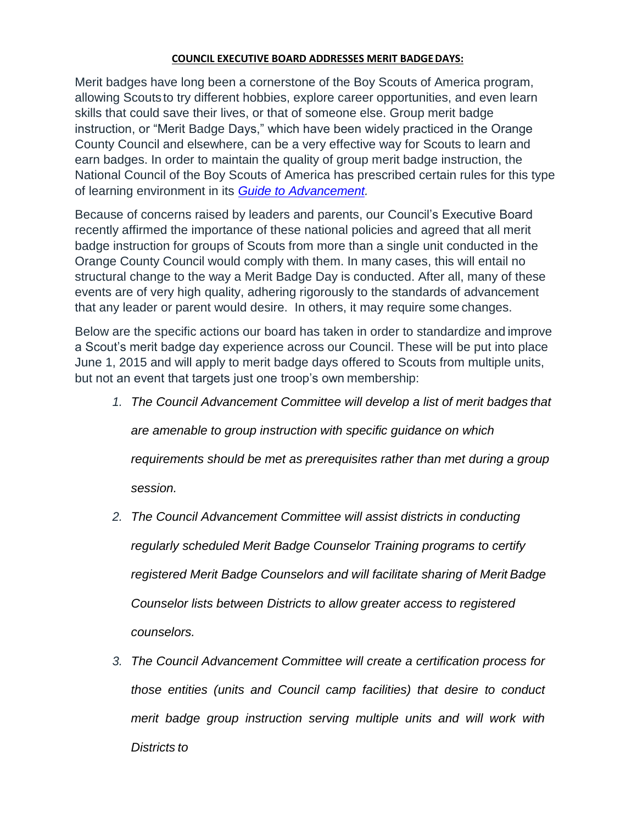## **COUNCIL EXECUTIVE BOARD ADDRESSES MERIT BADGEDAYS:**

Merit badges have long been a cornerstone of the Boy Scouts of America program, allowing Scoutsto try different hobbies, explore career opportunities, and even learn skills that could save their lives, or that of someone else. Group merit badge instruction, or "Merit Badge Days," which have been widely practiced in the Orange County Council and elsewhere, can be a very effective way for Scouts to learn and earn badges. In order to maintain the quality of group merit badge instruction, the National Council of the Boy Scouts of America has prescribed certain rules for this type of learning environment in its *[Guide to Advancement.](http://www.scouting.org/filestore/pdf/33088.pdf)*

Because of concerns raised by leaders and parents, our Council's Executive Board recently affirmed the importance of these national policies and agreed that all merit badge instruction for groups of Scouts from more than a single unit conducted in the Orange County Council would comply with them. In many cases, this will entail no structural change to the way a Merit Badge Day is conducted. After all, many of these events are of very high quality, adhering rigorously to the standards of advancement that any leader or parent would desire. In others, it may require some changes.

Below are the specific actions our board has taken in order to standardize and improve a Scout's merit badge day experience across our Council. These will be put into place June 1, 2015 and will apply to merit badge days offered to Scouts from multiple units, but not an event that targets just one troop's own membership:

*1. The Council Advancement Committee will develop a list of merit badges that* 

*are amenable to group instruction with specific guidance on which* 

*requirements should be met as prerequisites rather than met during a group session.*

- *2. The Council Advancement Committee will assist districts in conducting regularly scheduled Merit Badge Counselor Training programs to certify registered Merit Badge Counselors and will facilitate sharing of Merit Badge Counselor lists between Districts to allow greater access to registered counselors.*
- *3. The Council Advancement Committee will create a certification process for those entities (units and Council camp facilities) that desire to conduct merit badge group instruction serving multiple units and will work with Districts to*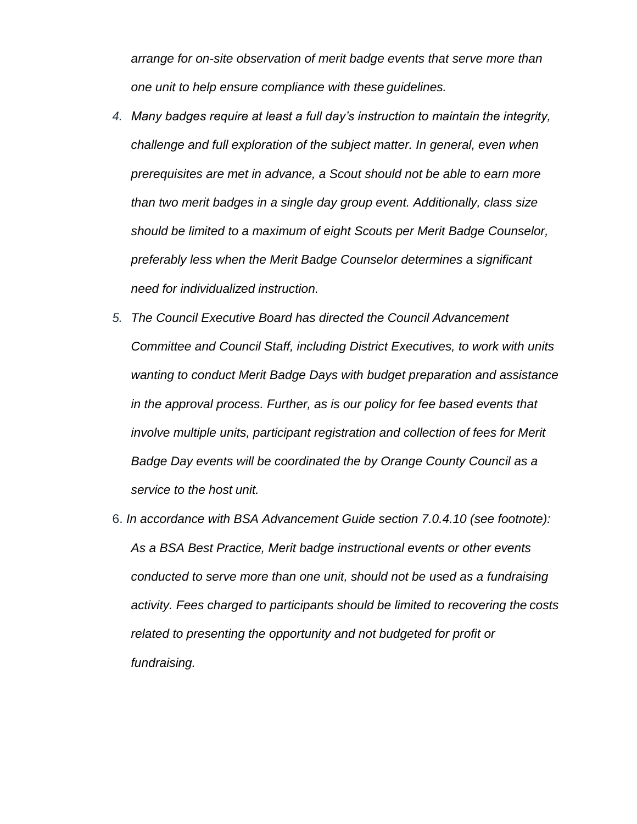*arrange for on-site observation of merit badge events that serve more than one unit to help ensure compliance with these guidelines.*

- *4. Many badges require at least a full day's instruction to maintain the integrity, challenge and full exploration of the subject matter. In general, even when prerequisites are met in advance, a Scout should not be able to earn more than two merit badges in a single day group event. Additionally, class size should be limited to a maximum of eight Scouts per Merit Badge Counselor, preferably less when the Merit Badge Counselor determines a significant need for individualized instruction.*
- *5. The Council Executive Board has directed the Council Advancement Committee and Council Staff, including District Executives, to work with units wanting to conduct Merit Badge Days with budget preparation and assistance in the approval process. Further, as is our policy for fee based events that involve multiple units, participant registration and collection of fees for Merit Badge Day events will be coordinated the by Orange County Council as a service to the host unit.*
- 6. *In accordance with BSA Advancement Guide section 7.0.4.10 (see footnote): As a BSA Best Practice, Merit badge instructional events or other events conducted to serve more than one unit, should not be used as a fundraising activity. Fees charged to participants should be limited to recovering the costs related to presenting the opportunity and not budgeted for profit or fundraising.*